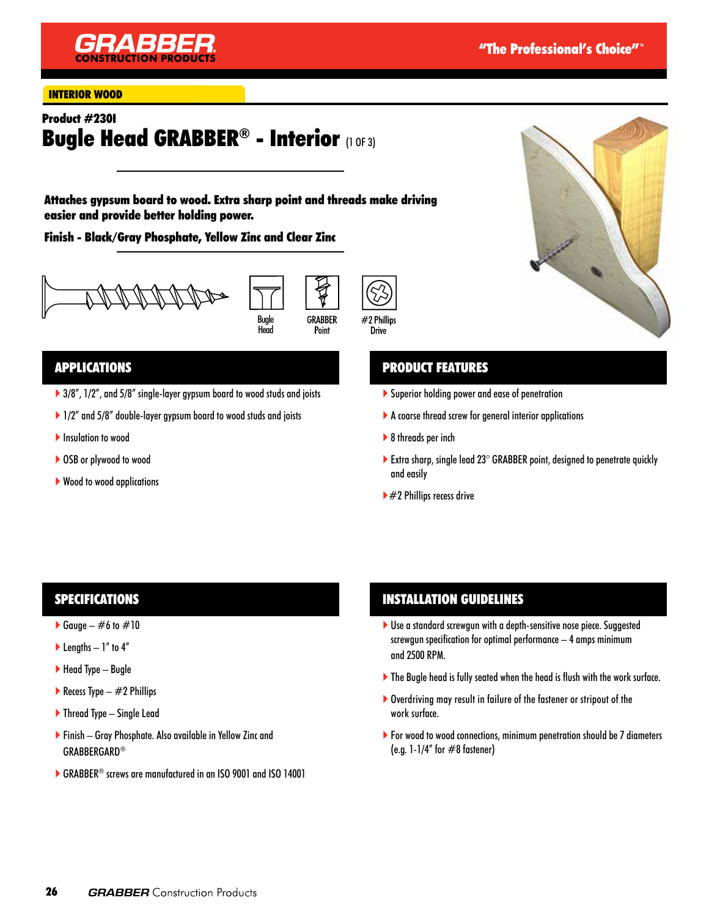

#### INTERIOR WOOD

# Product #230I Bugle Head GRABBER® - Interior (1 OF 3)

Attaches gypsum board to wood. Extra sharp point and threads make driving easier and provide better holding power.

Finish - Black/Gray Phosphate, Yellow Zinc and Clear Zinc







### APPLICATIONS

- ▶ 3/8", 1/2", and 5/8" single-layer gypsum board to wood studs and joists
- ▶ 1/2" and 5/8" double-layer gypsum board to wood studs and joists
- **Insulation to wood**
- ▶ OSB or plywood to wood
- ▶ Wood to wood applications

## PRODUCT FEATURES

- Superior holding power and ease of penetration
- A coarse thread screw for general interior applications
- ▶ 8 threads per inch
- Extra sharp, single lead  $23^\circ$  GRABBER point, designed to penetrate quickly and easily
- $\blacktriangleright$  #2 Phillips recess drive

### SPECIFICATIONS

- Gauge  $\#6$  to  $\#10$
- $\blacktriangleright$  Lengths 1" to 4"
- $\blacktriangleright$  Head Type Bugle
- Recess Type  $-$  #2 Phillips
- ▶ Thread Type Single Lead
- Finish Gray Phosphate. Also available in Yellow Zinc and GRABBERGARD®
- ▶ GRABBER<sup>®</sup> screws are manufactured in an ISO 9001 and ISO 14001

### INSTALLATION GUIDELINES

- Use a standard screwgun with a depth-sensitive nose piece. Suggested screwgun specification for optimal performance – 4 amps minimum and 2500 RPM.
- The Bugle head is fully seated when the head is flush with the work surface.
- Overdriving may result in failure of the fastener or stripout of the work surface.
- For wood to wood connections, minimum penetration should be 7 diameters (e.g.  $1-1/4$ " for  $\#8$  fastener)

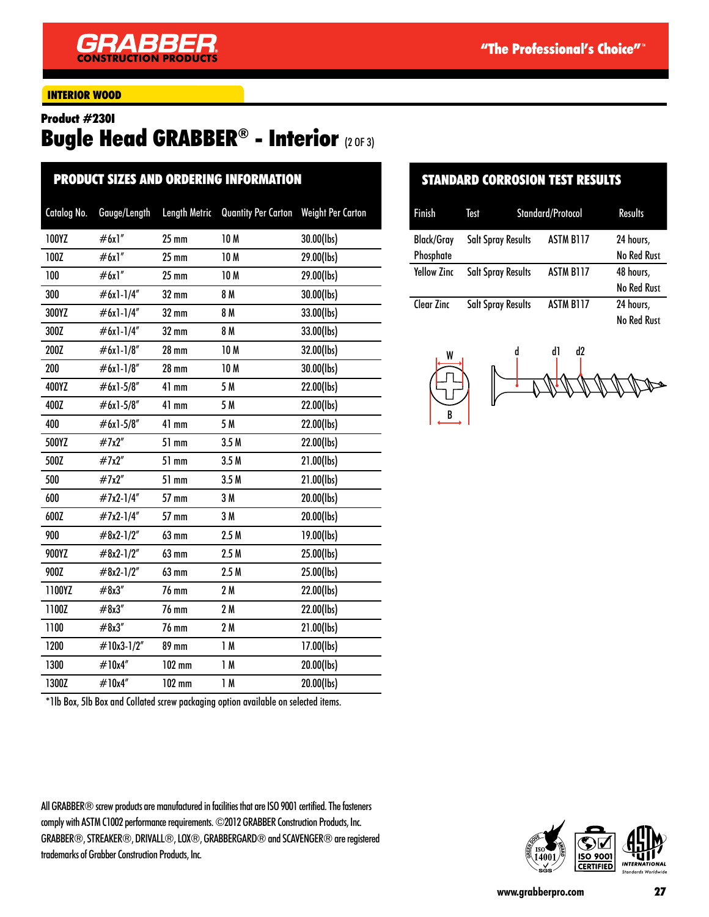### INTERIOR WOOD

#### Product #230I

# Bugle Head GRABBER® - Interior (2 OF 3)

| <b>PRODUCT SIZES AND ORDERING INFORMATION</b> |              |                      |                            |                          |  |
|-----------------------------------------------|--------------|----------------------|----------------------------|--------------------------|--|
| Catalog No.                                   | Gauge/Length | <b>Length Metric</b> | <b>Quantity Per Carton</b> | <b>Weight Per Carton</b> |  |
| 100YZ                                         | #6x1"        | $25 \text{ mm}$      | 10 M                       | 30.00(lbs)               |  |
| 100Z                                          | #6x1"        | $25$ mm              | 10 <sub>M</sub>            | 29.00(lbs)               |  |
| 100                                           | #6x1"        | $25$ mm              | 10 <sub>M</sub>            | 29.00(lbs)               |  |
| 300                                           | $#6x1-1/4"$  | 32 mm                | 8 M                        | 30.00(lbs)               |  |
| 300YZ                                         | $#6x1-1/4"$  | $32 \text{ mm}$      | 8 M                        | 33.00(lbs)               |  |
| 300Z                                          | $#6x1-1/4"$  | 32 mm                | 8 M                        | 33.00(lbs)               |  |
| 200Z                                          | #6x1-1/8"    | <b>28 mm</b>         | 10 M                       | 32.00(lbs)               |  |
| 200                                           | #6x1-1/8"    | <b>28 mm</b>         | 10 M                       | 30.00(lbs)               |  |
| 400YZ                                         | #6x1-5/8"    | 41 mm                | 5 M                        | 22.00(lbs)               |  |
| 400Z                                          | #6x1-5/8"    | 41 mm                | 5 M                        | 22.00(lbs)               |  |
| 400                                           | $#6x1-5/8"$  | 41 mm                | 5 M                        | 22.00(lbs)               |  |
| 500YZ                                         | #7x2"        | 51 mm                | 3.5 <sub>M</sub>           | 22.00(lbs)               |  |
| 500Z                                          | #7x2"        | 51 mm                | 3.5M                       | 21.00(lbs)               |  |
| 500                                           | #7x2"        | 51 mm                | 3.5M                       | 21.00(lbs)               |  |
| 600                                           | #7x2-1/4"    | 57 mm                | 3M                         | 20.00(lbs)               |  |
| 600Z                                          | #7x2-1/4"    | 57 mm                | 3 M                        | 20.00(lbs)               |  |
| 900                                           | #8x2-1/2"    | 63 mm                | 2.5M                       | 19.00(lbs)               |  |
| 900YZ                                         | $#8x2-1/2"$  | 63 mm                | 2.5M                       | 25.00(lbs)               |  |
| 900Z                                          | #8x2-1/2"    | 63 mm                | 2.5M                       | 25.00(lbs)               |  |
| 1100YZ                                        | #8x3''       | <b>76 mm</b>         | 2M                         | 22.00(lbs)               |  |
| 1100Z                                         | #8x3''       | 76 mm                | 2M                         | 22.00(lbs)               |  |
| 1100                                          | #8x3''       | <b>76 mm</b>         | 2 M                        | 21.00(lbs)               |  |
| 1200                                          | #10x3-1/2"   | 89 mm                | 1M                         | 17.00(lbs)               |  |
| 1300                                          | #10x4"       | $102$ mm             | 1M                         | 20.00(lbs)               |  |
| 1300Z                                         | #10x4"       | 102 mm               | 1M                         | 20.00(lbs)               |  |

\*1lb Box, 5lb Box and Collated screw packaging option available on selected items.

All GRABBER® screw products are manufactured in facilities that are ISO 9001 certified. The fasteners comply with ASTM C1002 performance requirements. ©2012 GRABBER Construction Products, Inc. GRABBER®, STREAKER®, DRIVALL®, LOX®, GRABBERGARD® and SCAVENGER® are registered trademarks of Grabber Construction Products, Inc.

## STANDARD CORROSION TEST RESULTS

| Finish             | Test                      | Standard/Protocol | <b>Results</b>     |
|--------------------|---------------------------|-------------------|--------------------|
| <b>Black/Gray</b>  | <b>Salt Spray Results</b> | ASTM B117         | 24 hours,          |
| Phosphate          |                           |                   | <b>No Red Rust</b> |
| <b>Yellow Zinc</b> | <b>Salt Spray Results</b> | <b>ASTM B117</b>  | 48 hours,          |
|                    |                           |                   | <b>No Red Rust</b> |
| Clear Zinc         | <b>Salt Spray Results</b> | <b>ASTM B117</b>  | 24 hours,          |
|                    |                           |                   | No Red Rust        |